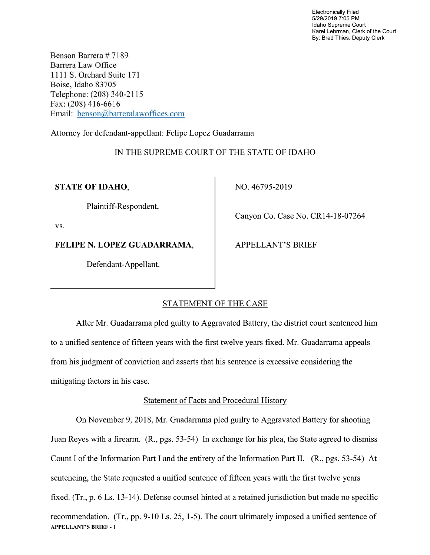Electronically Filed 5/29/2019 7:05 PM Idaho Supreme Court Karel Lehrman, Clerk of the Court By: Brad Thies, Deputy Clerk

Benson Barrera # 7189 Barrera Law Office 1 1 1 1 S. Orchard Suite <sup>171</sup> Boise, Idaho 83705 Telephone: (208) 340-21 15 Fax: (208) 416-6616 Email: benson@barreralaw0ffices.com

Attorney for defendant-appellant: Felipe Lopez Guadarrama

# IN THE SUPREME COURT OF THE STATE OF IDAHO

STATE OF IDAHO, NO. 46795-2019

Plaintiff-Respondent,

vs.

FELIPE N. LOPEZ GUADARRAMA, APPELLANT'S BRIEF

Defendant-Appellant.

Canyon Co. Case No. CR14-18-07264

# STATEMENT OF THE CASE

After Mr. Guadarrama pled guilty to Aggravated Battery, the district court sentenced him to a unified sentence of fifteen years with the first twelve years fixed. Mr. Guadarrama appeals from his judgment 0f conviction and asserts that his sentence is excessive considering the mitigating factors in his case.

# Statement 0f Facts and Procedural History

On November 9, 2018, Mr. Guadarrama pled guilty to Aggravated Battery for shooting Juan Reyes with a firearm. (R., pgs. 53-54) In exchange for his plea, the State agreed to dismiss Count I of the Information Part I and the entirety of the Information Part II.  $(R., pgs. 53-54)$  At sentencing, the State requested a unified sentence of fifteen years with the first twelve years fixed. (Tr.,  $p. 6$  Ls. 13-14). Defense counsel hinted at a retained jurisdiction but made no specific recommendation. (Tr., pp. 9-10 Ls. 25, 1-5). The court ultimately imposed a unified sentence of APPELLANT'S BRIEF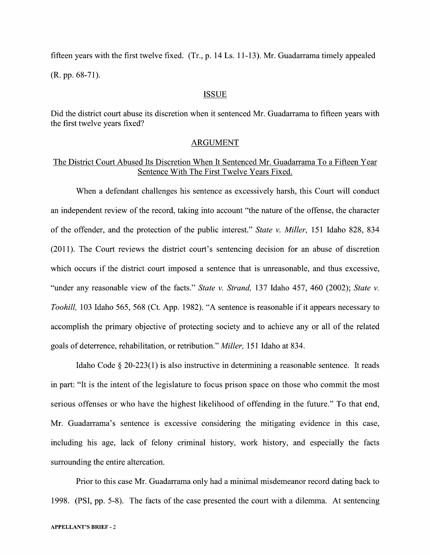fifteen years with the first twelve fixed.  $(Tr, p. 14$  Ls.  $11-13$ ). Mr. Guadarrama timely appealed

(R. pp. 68-71).

#### ISSUE

Did the district court abuse its discretion when it sentenced Mr. Guadarrama to fifteen years with the first twelve years fixed?

#### ARGUMENT

### The District Court Abused Its Discretion When It Sentenced Mr. Guadarrama To a Fifteen Year Sentence With The First Twelve Years Fixed.

When a defendant challenges his sentence as excessively harsh, this Court will conduct an independent review 0f the record, taking into account "the nature of the offense, the character of the offender, and the protection of the public interest." State v. Miller, 151 Idaho 828, 834 (2011). The Court reviews the district court's sentencing decision for an abuse of discretion which occurs if the district court imposed a sentence that is unreasonable, and thus excessive, "under any reasonable view of the facts." State v. Strand, 137 Idaho 457, 460 (2002); State v. Toohill, <sup>103</sup> Idaho 565, <sup>568</sup> (Ct. App. 1982). "A sentence is reasonable if it appears necessary to accomplish the primary objective of protecting society and to achieve any or all of the related goals of deterrence, rehabilitation, 0r retribution." Miller, 151 Idaho at 834.

Idaho Code  $\S 20-223(1)$  is also instructive in determining a reasonable sentence. It reads in part: "It is the intent of the legislature to focus prison space 0n those Who commit the most serious offenses or who have the highest likelihood of offending in the future." To that end, Mr. Guadarrama's sentence is excessive considering the mitigating evidence in this case, including his age, lack 0f felony criminal history, work history, and especially the facts surrounding the entire altercation.

Prior to this case Mr. Guadarrama only had a minimal misdemeanor record dating back to 1998. (PSI, pp. 5-8). The facts of the case presented the court with a dilemma. At sentencing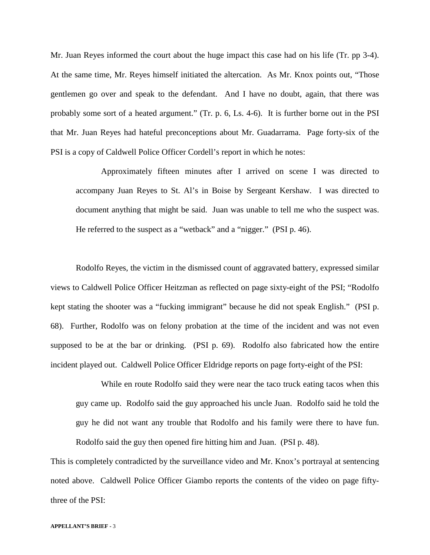Mr. Juan Reyes informed the court about the huge impact this case had on his life (Tr. pp 3-4). At the same time, Mr. Reyes himself initiated the altercation. As Mr. Knox points out, "Those gentlemen go over and speak to the defendant. And I have no doubt, again, that there was probably some sort of a heated argument." (Tr. p. 6, Ls. 4-6). It is further borne out in the PSI that Mr. Juan Reyes had hateful preconceptions about Mr. Guadarrama. Page forty-six of the PSI is a copy of Caldwell Police Officer Cordell's report in which he notes:

Approximately fifteen minutes after I arrived on scene I was directed to accompany Juan Reyes to St. Al's in Boise by Sergeant Kershaw. I was directed to document anything that might be said. Juan was unable to tell me who the suspect was. He referred to the suspect as a "wetback" and a "nigger." (PSI p. 46).

Rodolfo Reyes, the victim in the dismissed count of aggravated battery, expressed similar views to Caldwell Police Officer Heitzman as reflected on page sixty-eight of the PSI; "Rodolfo kept stating the shooter was a "fucking immigrant" because he did not speak English." (PSI p. 68). Further, Rodolfo was on felony probation at the time of the incident and was not even supposed to be at the bar or drinking. (PSI p. 69). Rodolfo also fabricated how the entire incident played out. Caldwell Police Officer Eldridge reports on page forty-eight of the PSI:

While en route Rodolfo said they were near the taco truck eating tacos when this guy came up. Rodolfo said the guy approached his uncle Juan. Rodolfo said he told the guy he did not want any trouble that Rodolfo and his family were there to have fun. Rodolfo said the guy then opened fire hitting him and Juan. (PSI p. 48).

This is completely contradicted by the surveillance video and Mr. Knox's portrayal at sentencing noted above. Caldwell Police Officer Giambo reports the contents of the video on page fiftythree of the PSI: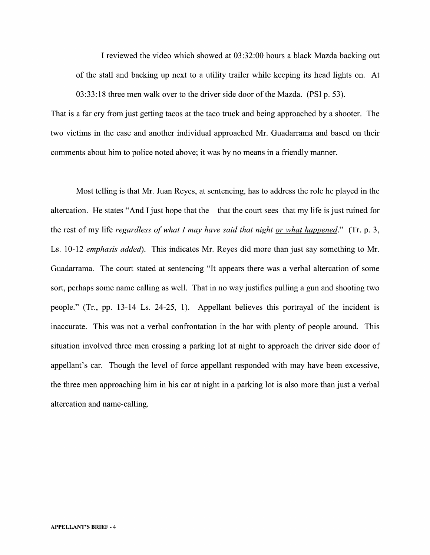I reviewed the video which showed at 03:32:00 hours a black Mazda backing out of the stall and backing up next to a utility trailer while keeping its head lights on. At

That is a far cry from just getting tacos at the taco truck and being approached by a shooter. The two Victims in the case and another individual approached Mr. Guadarrama and based 0n their comments about him to police noted above; it was by no means in a friendly manner.

03:33:18 three men walk over t0 the driver side door of the Mazda. (PSI p. 53).

Most telling is that Mr. Juan Reyes, at sentencing, has to address the role he played in the altercation. He states "And I just hope that the  $-$  that the court sees that my life is just ruined for the rest of my life *regardless of what I may have said that night <u>or what happened</u>." (Tr. p. 3,* Ls. 10-12 emphasis added). This indicates Mr. Reyes did more than just say something to Mr. Guadarrama. The court stated at sentencing "It appears there was a verbal altercation of some sort, perhaps some name calling as well. That in no way justifies pulling a gun and shooting two people." (Tr., pp. 13-14 Ls. 24-25, 1). Appellant believes this portrayal of the incident is inaccurate. This was not a verbal confrontation in the bar with plenty of people around. This situation involved three men crossing a parking lot at night to approach the driver side door of appellant's car. Though the level 0f force appellant responded With may have been excessive, the three men approaching him in his car at night in a parking lot is also more than just a verbal altercation and name-calling.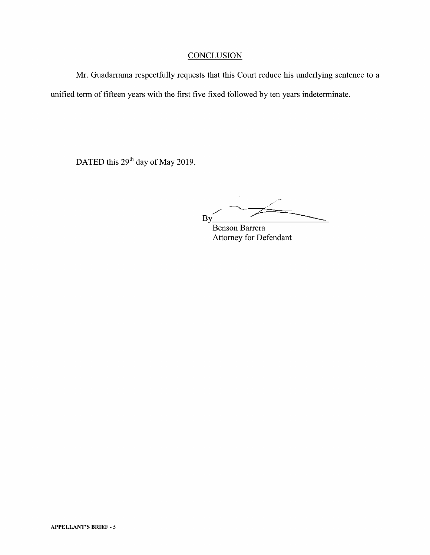## **CONCLUSION**

Mr. Guadarrama respectfully requests that this Court reduce his underlying sentence to a unified term of fifteen years with the first five fixed followed by ten years indeterminate.

DATED this 29<sup>th</sup> day of May 2019.

,/' By

Benson Barrera Attorney for Defendant